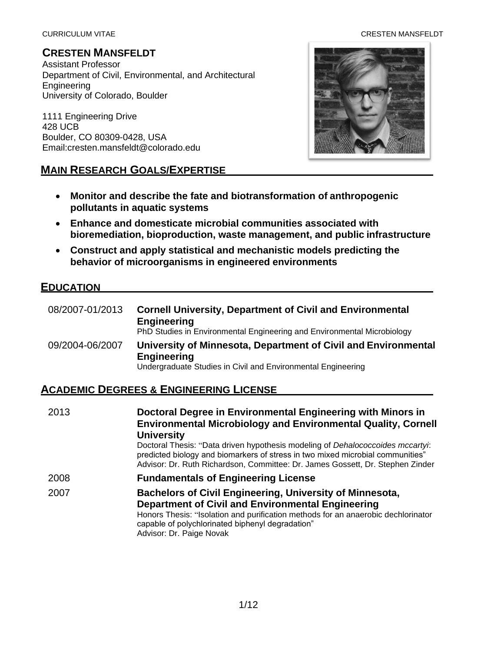#### CURRICULUM VITAE CRESTEN MANSFELDT

#### **CRESTEN MANSFELDT**

Assistant Professor Department of Civil, Environmental, and Architectural Engineering University of Colorado, Boulder

1111 Engineering Drive 428 UCB Boulder, CO 80309-0428, USA [Email:cresten.mansfeldt@colorado.edu](mailto:cresten.mansfeldt@colorado.edu)

#### **MAIN RESEARCH GOALS/EXPERTISE**



- **Monitor and describe the fate and biotransformation of anthropogenic pollutants in aquatic systems**
- **Enhance and domesticate microbial communities associated with bioremediation, bioproduction, waste management, and public infrastructure**
- **Construct and apply statistical and mechanistic models predicting the behavior of microorganisms in engineered environments**

#### **EDUCATION**

| 08/2007-01/2013 | <b>Cornell University, Department of Civil and Environmental</b><br><b>Engineering</b><br>PhD Studies in Environmental Engineering and Environmental Microbiology |
|-----------------|-------------------------------------------------------------------------------------------------------------------------------------------------------------------|
| 09/2004-06/2007 | University of Minnesota, Department of Civil and Environmental<br><b>Engineering</b><br>Undergraduate Studies in Civil and Environmental Engineering              |

## **ACADEMIC DEGREES & ENGINEERING LICENSE**

| 2013 | Doctoral Degree in Environmental Engineering with Minors in<br><b>Environmental Microbiology and Environmental Quality, Cornell</b><br><b>University</b><br>Doctoral Thesis: "Data driven hypothesis modeling of Dehalococcoides mccartyi:<br>predicted biology and biomarkers of stress in two mixed microbial communities"<br>Advisor: Dr. Ruth Richardson, Committee: Dr. James Gossett, Dr. Stephen Zinder |
|------|----------------------------------------------------------------------------------------------------------------------------------------------------------------------------------------------------------------------------------------------------------------------------------------------------------------------------------------------------------------------------------------------------------------|
| 2008 | <b>Fundamentals of Engineering License</b>                                                                                                                                                                                                                                                                                                                                                                     |
| 2007 | Bachelors of Civil Engineering, University of Minnesota,<br><b>Department of Civil and Environmental Engineering</b><br>Honors Thesis: "Isolation and purification methods for an anaerobic dechlorinator<br>capable of polychlorinated biphenyl degradation"<br>Advisor: Dr. Paige Novak                                                                                                                      |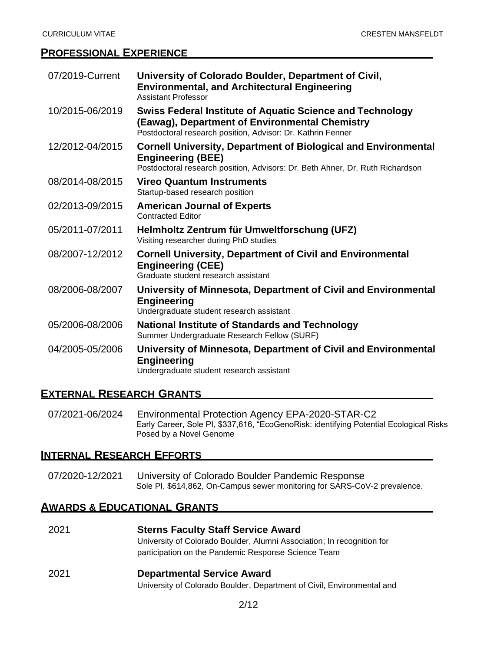#### **PROFESSIONAL EXPERIENCE**

| 07/2019-Current | University of Colorado Boulder, Department of Civil,<br><b>Environmental, and Architectural Engineering</b><br><b>Assistant Professor</b>                                          |
|-----------------|------------------------------------------------------------------------------------------------------------------------------------------------------------------------------------|
| 10/2015-06/2019 | <b>Swiss Federal Institute of Aquatic Science and Technology</b><br>(Eawag), Department of Environmental Chemistry<br>Postdoctoral research position, Advisor: Dr. Kathrin Fenner  |
| 12/2012-04/2015 | <b>Cornell University, Department of Biological and Environmental</b><br><b>Engineering (BEE)</b><br>Postdoctoral research position, Advisors: Dr. Beth Ahner, Dr. Ruth Richardson |
| 08/2014-08/2015 | <b>Vireo Quantum Instruments</b><br>Startup-based research position                                                                                                                |
| 02/2013-09/2015 | <b>American Journal of Experts</b><br><b>Contracted Editor</b>                                                                                                                     |
| 05/2011-07/2011 | Helmholtz Zentrum für Umweltforschung (UFZ)<br>Visiting researcher during PhD studies                                                                                              |
| 08/2007-12/2012 | <b>Cornell University, Department of Civil and Environmental</b><br><b>Engineering (CEE)</b><br>Graduate student research assistant                                                |
| 08/2006-08/2007 | University of Minnesota, Department of Civil and Environmental<br><b>Engineering</b><br>Undergraduate student research assistant                                                   |
| 05/2006-08/2006 | <b>National Institute of Standards and Technology</b><br>Summer Undergraduate Research Fellow (SURF)                                                                               |
| 04/2005-05/2006 | University of Minnesota, Department of Civil and Environmental<br><b>Engineering</b><br>Undergraduate student research assistant                                                   |

#### **EXTERNAL RESEARCH GRANTS**

07/2021-06/2024 Environmental Protection Agency EPA-2020-STAR-C2 Early Career, Sole PI, \$337,616, "EcoGenoRisk: identifying Potential Ecological Risks Posed by a Novel Genome

#### **INTERNAL RESEARCH EFFORTS**

07/2020-12/2021 University of Colorado Boulder Pandemic Response Sole PI, \$614,862, On-Campus sewer monitoring for SARS-CoV-2 prevalence.

#### **AWARDS & EDUCATIONAL GRANTS**

2021 **Sterns Faculty Staff Service Award** University of Colorado Boulder, Alumni Association; In recognition for participation on the Pandemic Response Science Team

#### 2021 **Departmental Service Award**

University of Colorado Boulder, Department of Civil, Environmental and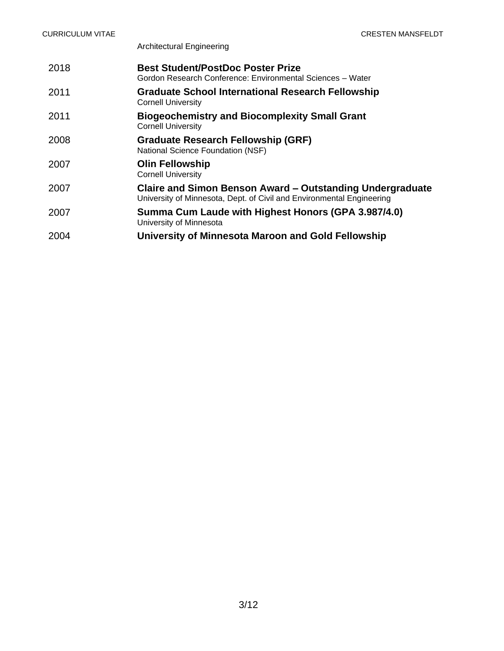Architectural Engineering

| 2018 | <b>Best Student/PostDoc Poster Prize</b><br>Gordon Research Conference: Environmental Sciences - Water                             |
|------|------------------------------------------------------------------------------------------------------------------------------------|
| 2011 | <b>Graduate School International Research Fellowship</b><br><b>Cornell University</b>                                              |
| 2011 | <b>Biogeochemistry and Biocomplexity Small Grant</b><br><b>Cornell University</b>                                                  |
| 2008 | <b>Graduate Research Fellowship (GRF)</b><br>National Science Foundation (NSF)                                                     |
| 2007 | <b>Olin Fellowship</b><br><b>Cornell University</b>                                                                                |
| 2007 | Claire and Simon Benson Award - Outstanding Undergraduate<br>University of Minnesota, Dept. of Civil and Environmental Engineering |
| 2007 | Summa Cum Laude with Highest Honors (GPA 3.987/4.0)<br>University of Minnesota                                                     |
| 2004 | University of Minnesota Maroon and Gold Fellowship                                                                                 |
|      |                                                                                                                                    |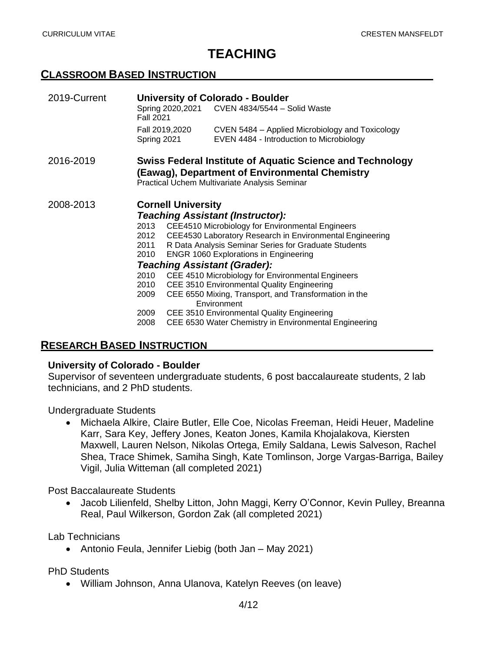# **TEACHING**

#### **CLASSROOM BASED INSTRUCTION**

| 2019-Current |                                         | <b>University of Colorado - Boulder</b> |                                                                                                                                                                     |  |  |
|--------------|-----------------------------------------|-----------------------------------------|---------------------------------------------------------------------------------------------------------------------------------------------------------------------|--|--|
|              | <b>Fall 2021</b>                        |                                         | Spring 2020, 2021 CVEN 4834/5544 - Solid Waste                                                                                                                      |  |  |
|              |                                         | Fall 2019,2020                          | CVEN 5484 – Applied Microbiology and Toxicology                                                                                                                     |  |  |
|              | Spring 2021                             |                                         | EVEN 4484 - Introduction to Microbiology                                                                                                                            |  |  |
| 2016-2019    |                                         |                                         | <b>Swiss Federal Institute of Aquatic Science and Technology</b><br>(Eawag), Department of Environmental Chemistry<br>Practical Uchem Multivariate Analysis Seminar |  |  |
| 2008-2013    | <b>Cornell University</b>               |                                         |                                                                                                                                                                     |  |  |
|              | <b>Teaching Assistant (Instructor):</b> |                                         |                                                                                                                                                                     |  |  |
|              | 2013                                    |                                         | <b>CEE4510 Microbiology for Environmental Engineers</b>                                                                                                             |  |  |
|              |                                         |                                         | 2012 CEE4530 Laboratory Research in Environmental Engineering                                                                                                       |  |  |
|              | 2011                                    |                                         | R Data Analysis Seminar Series for Graduate Students                                                                                                                |  |  |
|              | 2010                                    |                                         | <b>ENGR 1060 Explorations in Engineering</b>                                                                                                                        |  |  |
|              | <b>Teaching Assistant (Grader):</b>     |                                         |                                                                                                                                                                     |  |  |
|              | 2010                                    |                                         | CEE 4510 Microbiology for Environmental Engineers                                                                                                                   |  |  |
|              | 2010                                    |                                         | CEE 3510 Environmental Quality Engineering                                                                                                                          |  |  |
|              | 2009                                    |                                         | CEE 6550 Mixing, Transport, and Transformation in the<br>Environment                                                                                                |  |  |
|              | 2009                                    |                                         | CEE 3510 Environmental Quality Engineering                                                                                                                          |  |  |
|              | 2008                                    |                                         | CEE 6530 Water Chemistry in Environmental Engineering                                                                                                               |  |  |

### **RESEARCH BASED INSTRUCTION**

#### **University of Colorado - Boulder**

Supervisor of seventeen undergraduate students, 6 post baccalaureate students, 2 lab technicians, and 2 PhD students.

Undergraduate Students

• Michaela Alkire, Claire Butler, Elle Coe, Nicolas Freeman, Heidi Heuer, Madeline Karr, Sara Key, Jeffery Jones, Keaton Jones, Kamila Khojalakova, Kiersten Maxwell, Lauren Nelson, Nikolas Ortega, Emily Saldana, Lewis Salveson, Rachel Shea, Trace Shimek, Samiha Singh, Kate Tomlinson, Jorge Vargas-Barriga, Bailey Vigil, Julia Witteman (all completed 2021)

Post Baccalaureate Students

• Jacob Lilienfeld, Shelby Litton, John Maggi, Kerry O'Connor, Kevin Pulley, Breanna Real, Paul Wilkerson, Gordon Zak (all completed 2021)

Lab Technicians

• Antonio Feula, Jennifer Liebig (both Jan – May 2021)

PhD Students

• William Johnson, Anna Ulanova, Katelyn Reeves (on leave)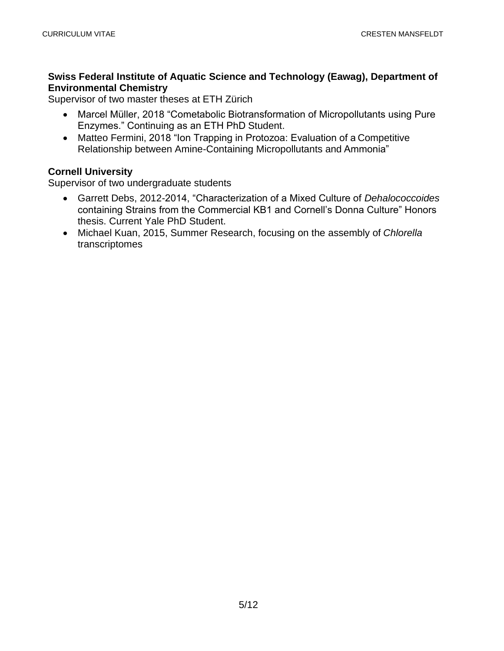#### **Swiss Federal Institute of Aquatic Science and Technology (Eawag), Department of Environmental Chemistry**

Supervisor of two master theses at ETH Zürich

- Marcel Müller, 2018 "Cometabolic Biotransformation of Micropollutants using Pure Enzymes." Continuing as an ETH PhD Student.
- Matteo Fermini, 2018 "Ion Trapping in Protozoa: Evaluation of a Competitive Relationship between Amine-Containing Micropollutants and Ammonia"

#### **Cornell University**

Supervisor of two undergraduate students

- Garrett Debs, 2012-2014, "Characterization of a Mixed Culture of *Dehalococcoides*  containing Strains from the Commercial KB1 and Cornell's Donna Culture" Honors thesis. Current Yale PhD Student.
- Michael Kuan, 2015, Summer Research, focusing on the assembly of *Chlorella* transcriptomes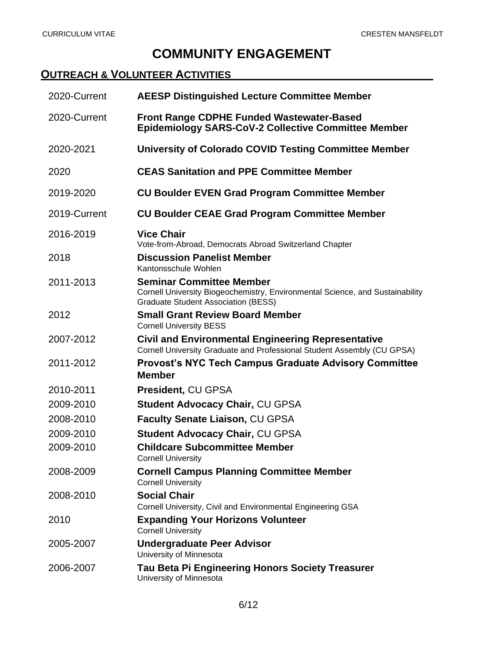# **COMMUNITY ENGAGEMENT**

## **OUTREACH & VOLUNTEER ACTIVITIES**

| 2020-Current | <b>AEESP Distinguished Lecture Committee Member</b>                                                                                                            |
|--------------|----------------------------------------------------------------------------------------------------------------------------------------------------------------|
| 2020-Current | <b>Front Range CDPHE Funded Wastewater-Based</b><br><b>Epidemiology SARS-CoV-2 Collective Committee Member</b>                                                 |
| 2020-2021    | <b>University of Colorado COVID Testing Committee Member</b>                                                                                                   |
| 2020         | <b>CEAS Sanitation and PPE Committee Member</b>                                                                                                                |
| 2019-2020    | <b>CU Boulder EVEN Grad Program Committee Member</b>                                                                                                           |
| 2019-Current | <b>CU Boulder CEAE Grad Program Committee Member</b>                                                                                                           |
| 2016-2019    | <b>Vice Chair</b><br>Vote-from-Abroad, Democrats Abroad Switzerland Chapter                                                                                    |
| 2018         | <b>Discussion Panelist Member</b><br>Kantonsschule Wohlen                                                                                                      |
| 2011-2013    | <b>Seminar Committee Member</b><br>Cornell University Biogeochemistry, Environmental Science, and Sustainability<br><b>Graduate Student Association (BESS)</b> |
| 2012         | <b>Small Grant Review Board Member</b><br><b>Cornell University BESS</b>                                                                                       |
| 2007-2012    | <b>Civil and Environmental Engineering Representative</b><br>Cornell University Graduate and Professional Student Assembly (CU GPSA)                           |
| 2011-2012    | <b>Provost's NYC Tech Campus Graduate Advisory Committee</b><br><b>Member</b>                                                                                  |
| 2010-2011    | <b>President, CU GPSA</b>                                                                                                                                      |
| 2009-2010    | <b>Student Advocacy Chair, CU GPSA</b>                                                                                                                         |
| 2008-2010    | Faculty Senate Liaison, CU GPSA                                                                                                                                |
| 2009-2010    | Student Advocacy Chair, CU GPSA                                                                                                                                |
| 2009-2010    | <b>Childcare Subcommittee Member</b><br><b>Cornell University</b>                                                                                              |
| 2008-2009    | <b>Cornell Campus Planning Committee Member</b><br><b>Cornell University</b>                                                                                   |
| 2008-2010    | <b>Social Chair</b><br>Cornell University, Civil and Environmental Engineering GSA                                                                             |
| 2010         | <b>Expanding Your Horizons Volunteer</b><br><b>Cornell University</b>                                                                                          |
| 2005-2007    | <b>Undergraduate Peer Advisor</b><br>University of Minnesota                                                                                                   |
| 2006-2007    | <b>Tau Beta Pi Engineering Honors Society Treasurer</b><br>University of Minnesota                                                                             |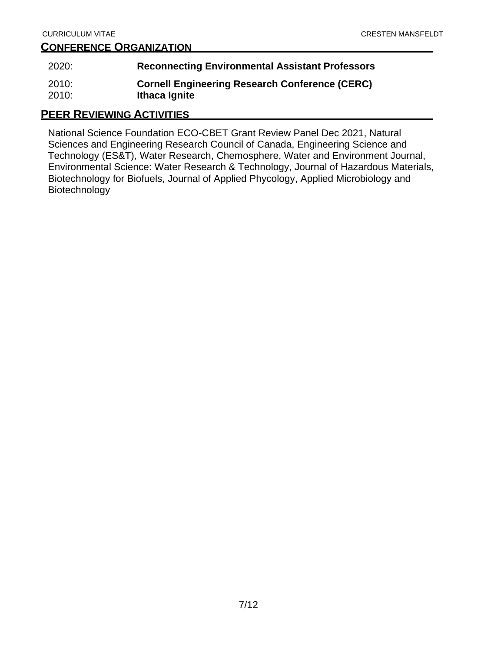### **CONFERENCE ORGANIZATION**

| 2020: | <b>Reconnecting Environmental Assistant Professors</b> |
|-------|--------------------------------------------------------|
| 2010: | <b>Cornell Engineering Research Conference (CERC)</b>  |
| 2010: | Ithaca Ignite                                          |

## **PEER REVIEWING ACTIVITIES**

National Science Foundation ECO-CBET Grant Review Panel Dec 2021, Natural Sciences and Engineering Research Council of Canada, Engineering Science and Technology (ES&T), Water Research, Chemosphere, Water and Environment Journal, Environmental Science: Water Research & Technology, Journal of Hazardous Materials, Biotechnology for Biofuels, Journal of Applied Phycology, Applied Microbiology and Biotechnology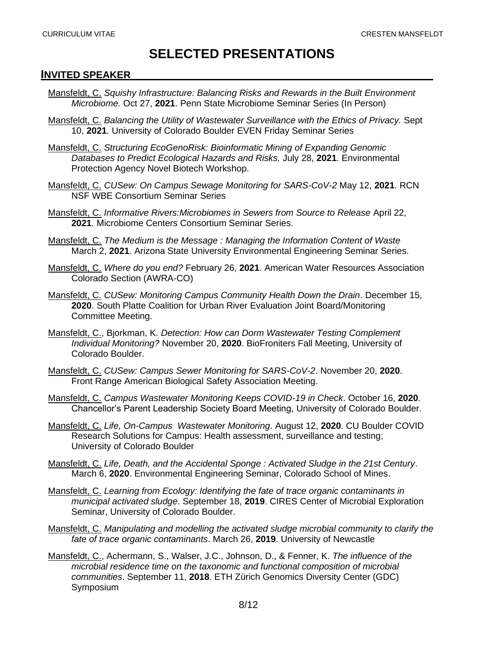## **SELECTED PRESENTATIONS**

#### **INVITED SPEAKER**

- Mansfeldt, C. *Squishy Infrastructure: Balancing Risks and Rewards in the Built Environment Microbiome.* Oct 27, **2021**. Penn State Microbiome Seminar Series (In Person)
- Mansfeldt, C. *Balancing the Utility of Wastewater Surveillance with the Ethics of Privacy.* Sept 10, **2021**. University of Colorado Boulder EVEN Friday Seminar Series
- Mansfeldt, C. *Structuring EcoGenoRisk: Bioinformatic Mining of Expanding Genomic Databases to Predict Ecological Hazards and Risks.* July 28, **2021**. Environmental Protection Agency Novel Biotech Workshop.
- Mansfeldt, C. *CUSew: On Campus Sewage Monitoring for SARS-CoV-2* May 12, **2021**. RCN NSF WBE Consortium Seminar Series
- Mansfeldt, C. *Informative Rivers:Microbiomes in Sewers from Source to Release* April 22, **2021**. Microbiome Centers Consortium Seminar Series.
- Mansfeldt, C. *The Medium is the Message : Managing the Information Content of Waste* March 2, **2021**. Arizona State University Environmental Engineering Seminar Series.
- Mansfeldt, C. *Where do you end?* February 26, **2021**. American Water Resources Association Colorado Section (AWRA-CO)
- Mansfeldt, C. *CUSew: Monitoring Campus Community Health Down the Drain*. December 15, **2020**. South Platte Coalition for Urban River Evaluation Joint Board/Monitoring Committee Meeting.
- Mansfeldt, C., Bjorkman, K. *Detection: How can Dorm Wastewater Testing Complement Individual Monitoring?* November 20, **2020**. BioFroniters Fall Meeting, University of Colorado Boulder.
- Mansfeldt, C. *CUSew: Campus Sewer Monitoring for SARS-CoV-2*. November 20, **2020**. Front Range American Biological Safety Association Meeting.
- Mansfeldt, C. *Campus Wastewater Monitoring Keeps COVID-19 in Check*. October 16, **2020**. Chancellor's Parent Leadership Society Board Meeting, University of Colorado Boulder.
- Mansfeldt, C. *Life, On-Campus Wastewater Monitoring*. August 12, **2020**. CU Boulder COVID Research Solutions for Campus: Health assessment, surveillance and testing; University of Colorado Boulder
- Mansfeldt, C. *Life, Death, and the Accidental Sponge : Activated Sludge in the 21st Century*. March 6, **2020**. Environmental Engineering Seminar, Colorado School of Mines.
- Mansfeldt, C. *Learning from Ecology: Identifying the fate of trace organic contaminants in municipal activated sludge*. September 18, **2019**. CIRES Center of Microbial Exploration Seminar, University of Colorado Boulder.
- Mansfeldt, C. *Manipulating and modelling the activated sludge microbial community to clarify the fate of trace organic contaminants*. March 26, **2019**. University of Newcastle
- Mansfeldt, C., Achermann, S., Walser, J.C., Johnson, D., & Fenner, K. *The influence of the microbial residence time on the taxonomic and functional composition of microbial communities*. September 11, **2018**. ETH Zürich Genomics Diversity Center (GDC) Symposium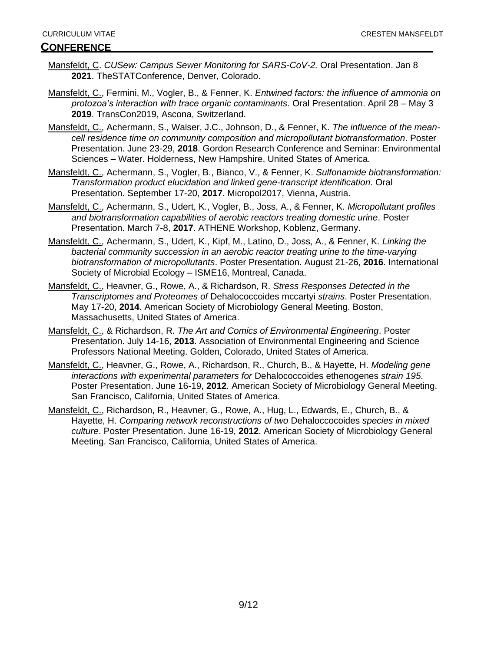#### **CONFERENCE**

- Mansfeldt, C. *CUSew: Campus Sewer Monitoring for SARS-CoV-2.* Oral Presentation. Jan 8 **2021**. TheSTATConference, Denver, Colorado.
- Mansfeldt, C., Fermini, M., Vogler, B., & Fenner, K. *Entwined factors: the influence of ammonia on protozoa's interaction with trace organic contaminants*. Oral Presentation. April 28 – May 3 **2019**. TransCon2019, Ascona, Switzerland.
- Mansfeldt, C., Achermann, S., Walser, J.C., Johnson, D., & Fenner, K. *The influence of the meancell residence time on community composition and micropollutant biotransformation*. Poster Presentation. June 23-29, **2018**. Gordon Research Conference and Seminar: Environmental Sciences – Water. Holderness, New Hampshire, United States of America.
- Mansfeldt, C., Achermann, S., Vogler, B., Bianco, V., & Fenner, K. *Sulfonamide biotransformation: Transformation product elucidation and linked gene-transcript identification*. Oral Presentation. September 17-20, **2017**. Micropol2017, Vienna, Austria.
- Mansfeldt, C., Achermann, S., Udert, K., Vogler, B., Joss, A., & Fenner, K. *Micropollutant profiles and biotransformation capabilities of aerobic reactors treating domestic urine*. Poster Presentation. March 7-8, **2017**. ATHENE Workshop, Koblenz, Germany.
- Mansfeldt, C., Achermann, S., Udert, K., Kipf, M., Latino, D., Joss, A., & Fenner, K. *Linking the bacterial community succession in an aerobic reactor treating urine to the time-varying biotransformation of micropollutants*. Poster Presentation. August 21-26, **2016**. International Society of Microbial Ecology – ISME16, Montreal, Canada.
- Mansfeldt, C., Heavner, G., Rowe, A., & Richardson, R. *Stress Responses Detected in the Transcriptomes and Proteomes of* Dehalococcoides mccartyi *strains*. Poster Presentation. May 17-20, **2014**. American Society of Microbiology General Meeting. Boston, Massachusetts, United States of America.
- Mansfeldt, C., & Richardson, R. *The Art and Comics of Environmental Engineering*. Poster Presentation. July 14-16, **2013**. Association of Environmental Engineering and Science Professors National Meeting. Golden, Colorado, United States of America.
- Mansfeldt, C., Heavner, G., Rowe, A., Richardson, R., Church, B., & Hayette, H. *Modeling gene interactions with experimental parameters for* Dehalococcoides ethenogenes *strain 195*. Poster Presentation. June 16-19, **2012**. American Society of Microbiology General Meeting. San Francisco, California, United States of America.
- Mansfeldt, C., Richardson, R., Heavner, G., Rowe, A., Hug, L., Edwards, E., Church, B., & Hayette, H. *Comparing network reconstructions of two* Dehaloccocoides *species in mixed culture*. Poster Presentation. June 16-19, **2012**. American Society of Microbiology General Meeting. San Francisco, California, United States of America.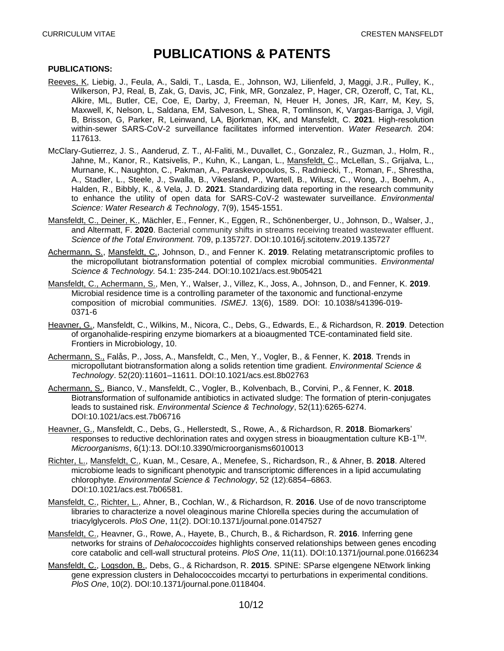## **PUBLICATIONS & PATENTS**

#### **PUBLICATIONS:**

- Reeves, K, Liebig, J., Feula, A., Saldi, T., Lasda, E., Johnson, WJ, Lilienfeld, J, Maggi, J.R., Pulley, K., Wilkerson, PJ, Real, B, Zak, G, Davis, JC, Fink, MR, Gonzalez, P, Hager, CR, Ozeroff, C, Tat, KL, Alkire, ML, Butler, CE, Coe, E, Darby, J, Freeman, N, Heuer H, Jones, JR, Karr, M, Key, S, Maxwell, K, Nelson, L, Saldana, EM, Salveson, L, Shea, R, Tomlinson, K, Vargas-Barriga, J, Vigil, B, Brisson, G, Parker, R, Leinwand, LA, Bjorkman, KK, and Mansfeldt, C. **2021**. High-resolution within-sewer SARS-CoV-2 surveillance facilitates informed intervention. *Water Research.* 204: 117613.
- McClary-Gutierrez, J. S., Aanderud, Z. T., Al-Faliti, M., Duvallet, C., Gonzalez, R., Guzman, J., Holm, R., Jahne, M., Kanor, R., Katsivelis, P., Kuhn, K., Langan, L., Mansfeldt, C., McLellan, S., Grijalva, L., Murnane, K., Naughton, C., Pakman, A., Paraskevopoulos, S., Radniecki, T., Roman, F., Shrestha, A., Stadler, L., Steele, J., Swalla, B., Vikesland, P., Wartell, B., Wilusz, C., Wong, J., Boehm, A., Halden, R., Bibbly, K., & Vela, J. D. **2021**. Standardizing data reporting in the research community to enhance the utility of open data for SARS-CoV-2 wastewater surveillance. *Environmental Science: Water Research & Technolog*y, 7(9), 1545-1551.
- Mansfeldt, C., Deiner, K., Mächler, E., Fenner, K., Eggen, R., Schönenberger, U., Johnson, D., Walser, J., and Altermatt, F. **2020**. Bacterial community shifts in streams receiving treated wastewater effluent. *Science of the Total Environment.* 709, p.135727. DOI:10.1016/j.scitotenv.2019.135727
- Achermann, S., Mansfeldt, C., Johnson, D., and Fenner K. **2019**. Relating metatranscriptomic profiles to the micropollutant biotransformation potential of complex microbial communities. *Environmental Science & Technology.* 54.1: 235-244. DOI:10.1021/acs.est.9b05421
- Mansfeldt, C., Achermann, S., Men, Y., Walser, J., Villez, K., Joss, A., Johnson, D., and Fenner, K. **2019**. Microbial residence time is a controlling parameter of the taxonomic and functional-enzyme composition of microbial communities. *ISMEJ*. 13(6), 1589. DOI: 10.1038/s41396-019- 0371-6
- Heavner, G., Mansfeldt, C., Wilkins, M., Nicora, C., Debs, G., Edwards, E., & Richardson, R. **2019**. Detection of organohalide-respiring enzyme biomarkers at a bioaugmented TCE-contaminated field site. Frontiers in Microbiology, 10.
- Achermann, S., Falås, P., Joss, A., Mansfeldt, C., Men, Y., Vogler, B., & Fenner, K. **2018**. Trends in micropollutant biotransformation along a solids retention time gradient. *Environmental Science & Technology*. 52(20):11601–11611. DOI:10.1021/acs.est.8b02763
- Achermann, S., Bianco, V., Mansfeldt, C., Vogler, B., Kolvenbach, B., Corvini, P., & Fenner, K. **2018**. Biotransformation of sulfonamide antibiotics in activated sludge: The formation of pterin-conjugates leads to sustained risk. *Environmental Science & Technology*, 52(11):6265-6274. DOI:10.1021/acs.est.7b06716
- Heavner, G., Mansfeldt, C., Debs, G., Hellerstedt, S., Rowe, A., & Richardson, R. **2018**. Biomarkers' responses to reductive dechlorination rates and oxygen stress in bioaugmentation culture  $KB-1<sup>TM</sup>$ . *Microorganisms*, 6(1):13. DOI:10.3390/microorganisms6010013
- Richter, L., Mansfeldt, C., Kuan, M., Cesare, A., Menefee, S., Richardson, R., & Ahner, B. **2018**. Altered microbiome leads to significant phenotypic and transcriptomic differences in a lipid accumulating chlorophyte. *Environmental Science & Technology*, 52 (12):6854–6863. DOI:10.1021/acs.est.7b06581.
- Mansfeldt, C., Richter, L., Ahner, B., Cochlan, W., & Richardson, R. **2016**. Use of de novo transcriptome libraries to characterize a novel oleaginous marine Chlorella species during the accumulation of triacylglycerols. *PloS One*, 11(2). DOI:10.1371/journal.pone.0147527
- Mansfeldt, C., Heavner, G., Rowe, A., Hayete, B., Church, B., & Richardson, R. **2016**. Inferring gene networks for strains of *Dehalococcoides* highlights conserved relationships between genes encoding core catabolic and cell-wall structural proteins. *PloS One*, 11(11). DOI:10.1371/journal.pone.0166234
- Mansfeldt, C., Logsdon, B., Debs, G., & Richardson, R. **2015**. SPINE: SParse eIgengene NEtwork linking gene expression clusters in Dehalococcoides mccartyi to perturbations in experimental conditions. *PloS One*, 10(2). DOI:10.1371/journal.pone.0118404.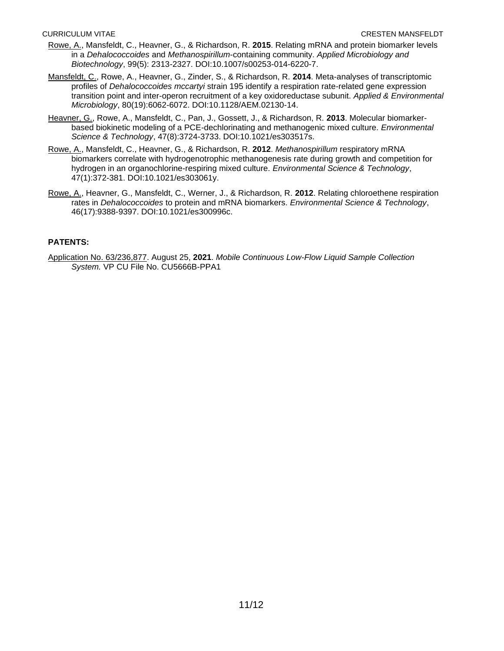- Rowe, A., Mansfeldt, C., Heavner, G., & Richardson, R. **2015**. Relating mRNA and protein biomarker levels in a *Dehalococcoides* and *Methanospirillum*-containing community. *Applied Microbiology and Biotechnology*, 99(5): 2313-2327. DOI:10.1007/s00253-014-6220-7.
- Mansfeldt, C., Rowe, A., Heavner, G., Zinder, S., & Richardson, R. **2014**. Meta-analyses of transcriptomic profiles of *Dehalococcoides mccartyi* strain 195 identify a respiration rate-related gene expression transition point and inter-operon recruitment of a key oxidoreductase subunit. *Applied & Environmental Microbiology*, 80(19):6062-6072. DOI:10.1128/AEM.02130-14.
- Heavner, G., Rowe, A., Mansfeldt, C., Pan, J., Gossett, J., & Richardson, R. **2013**. Molecular biomarkerbased biokinetic modeling of a PCE-dechlorinating and methanogenic mixed culture. *Environmental Science & Technology*, 47(8):3724-3733. DOI:10.1021/es303517s.
- Rowe, A., Mansfeldt, C., Heavner, G., & Richardson, R. **2012**. *Methanospirillum* respiratory mRNA biomarkers correlate with hydrogenotrophic methanogenesis rate during growth and competition for hydrogen in an organochlorine-respiring mixed culture. *Environmental Science & Technology*, 47(1):372-381. DOI:10.1021/es303061y.
- Rowe, A., Heavner, G., Mansfeldt, C., Werner, J., & Richardson, R. **2012**. Relating chloroethene respiration rates in *Dehalococcoides* to protein and mRNA biomarkers. *Environmental Science & Technology*, 46(17):9388-9397. DOI:10.1021/es300996c.

#### **PATENTS:**

Application No. 63/236,877. August 25, **2021**. *Mobile Continuous Low-Flow Liquid Sample Collection System.* VP CU File No. CU5666B-PPA1